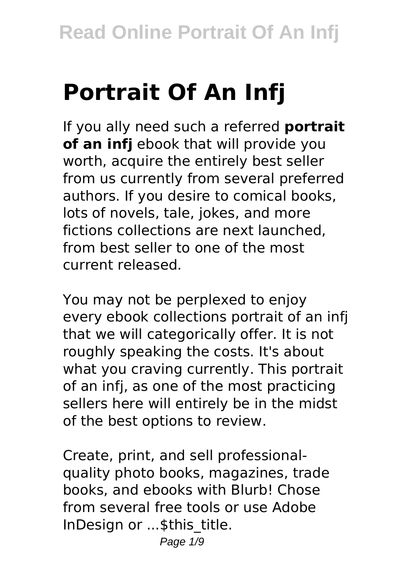# **Portrait Of An Infj**

If you ally need such a referred **portrait of an infj** ebook that will provide you worth, acquire the entirely best seller from us currently from several preferred authors. If you desire to comical books, lots of novels, tale, jokes, and more fictions collections are next launched, from best seller to one of the most current released.

You may not be perplexed to enjoy every ebook collections portrait of an infj that we will categorically offer. It is not roughly speaking the costs. It's about what you craving currently. This portrait of an infj, as one of the most practicing sellers here will entirely be in the midst of the best options to review.

Create, print, and sell professionalquality photo books, magazines, trade books, and ebooks with Blurb! Chose from several free tools or use Adobe InDesign or ...\$this\_title.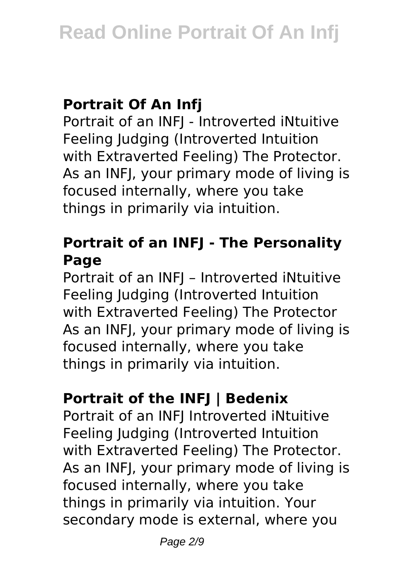# **Portrait Of An Infj**

Portrait of an INFJ - Introverted iNtuitive Feeling Judging (Introverted Intuition with Extraverted Feeling) The Protector. As an INFJ, your primary mode of living is focused internally, where you take things in primarily via intuition.

# **Portrait of an INFJ - The Personality Page**

Portrait of an INFJ – Introverted iNtuitive Feeling Judging (Introverted Intuition with Extraverted Feeling) The Protector As an INFJ, your primary mode of living is focused internally, where you take things in primarily via intuition.

# **Portrait of the INFJ | Bedenix**

Portrait of an INFJ Introverted iNtuitive Feeling Judging (Introverted Intuition with Extraverted Feeling) The Protector. As an INFJ, your primary mode of living is focused internally, where you take things in primarily via intuition. Your secondary mode is external, where you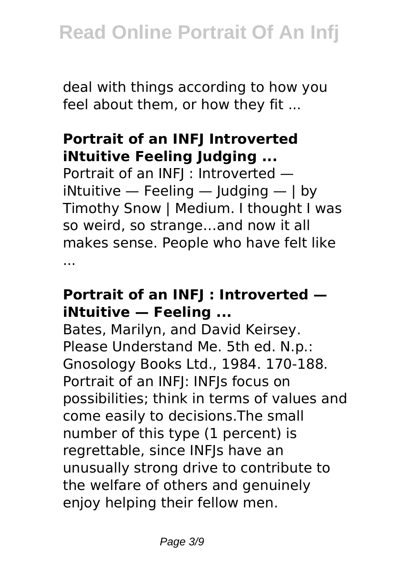deal with things according to how you feel about them, or how they fit ...

#### **Portrait of an INFJ Introverted iNtuitive Feeling Judging ...**

Portrait of an INFJ : Introverted iNtuitive  $-$  Feeling  $-$  Judging  $-$  J by Timothy Snow | Medium. I thought I was so weird, so strange…and now it all makes sense. People who have felt like ...

#### **Portrait of an INFJ : Introverted iNtuitive — Feeling ...**

Bates, Marilyn, and David Keirsey. Please Understand Me. 5th ed. N.p.: Gnosology Books Ltd., 1984. 170-188. Portrait of an INFJ: INFJs focus on possibilities; think in terms of values and come easily to decisions.The small number of this type (1 percent) is regrettable, since INFJs have an unusually strong drive to contribute to the welfare of others and genuinely enjoy helping their fellow men.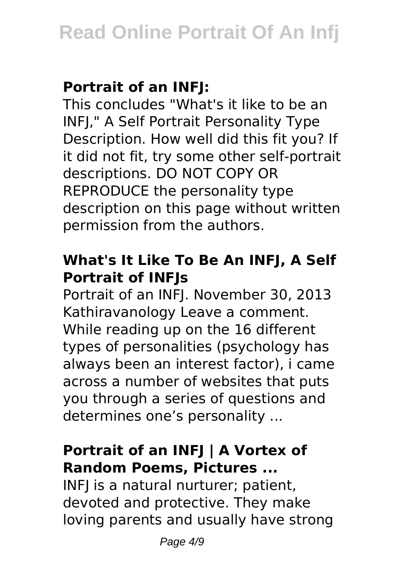# **Portrait of an INFJ:**

This concludes "What's it like to be an INFJ," A Self Portrait Personality Type Description. How well did this fit you? If it did not fit, try some other self-portrait descriptions. DO NOT COPY OR REPRODUCE the personality type description on this page without written permission from the authors.

# **What's It Like To Be An INFJ, A Self Portrait of INFJs**

Portrait of an INFJ. November 30, 2013 Kathiravanology Leave a comment. While reading up on the 16 different types of personalities (psychology has always been an interest factor), i came across a number of websites that puts you through a series of questions and determines one's personality ...

# **Portrait of an INFJ | A Vortex of Random Poems, Pictures ...**

INFJ is a natural nurturer; patient, devoted and protective. They make loving parents and usually have strong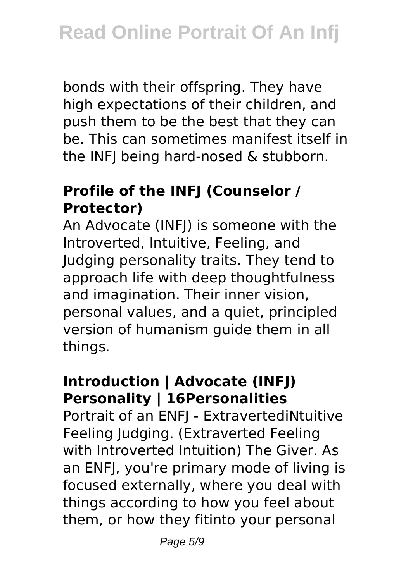bonds with their offspring. They have high expectations of their children, and push them to be the best that they can be. This can sometimes manifest itself in the INFJ being hard-nosed & stubborn.

# **Profile of the INFJ (Counselor / Protector)**

An Advocate (INFJ) is someone with the Introverted, Intuitive, Feeling, and Judging personality traits. They tend to approach life with deep thoughtfulness and imagination. Their inner vision, personal values, and a quiet, principled version of humanism guide them in all things.

# **Introduction | Advocate (INFJ) Personality | 16Personalities**

Portrait of an ENFJ - ExtravertediNtuitive Feeling Judging. (Extraverted Feeling with Introverted Intuition) The Giver. As an ENFJ, you're primary mode of living is focused externally, where you deal with things according to how you feel about them, or how they fitinto your personal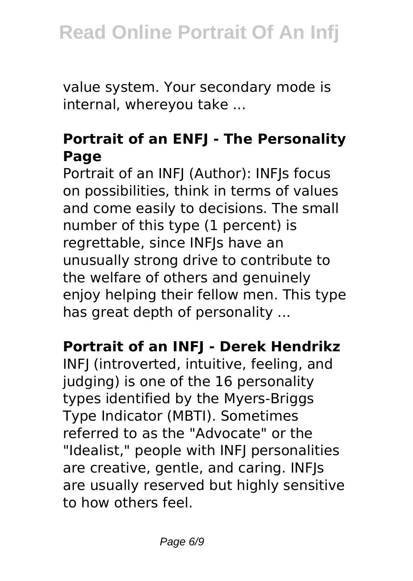value system. Your secondary mode is internal, whereyou take ...

# **Portrait of an ENFJ - The Personality Page**

Portrait of an INFJ (Author): INFJs focus on possibilities, think in terms of values and come easily to decisions. The small number of this type (1 percent) is regrettable, since INFJs have an unusually strong drive to contribute to the welfare of others and genuinely enjoy helping their fellow men. This type has great depth of personality ...

#### **Portrait of an INFJ - Derek Hendrikz**

INFJ (introverted, intuitive, feeling, and judging) is one of the 16 personality types identified by the Myers-Briggs Type Indicator (MBTI). Sometimes referred to as the "Advocate" or the "Idealist," people with INFJ personalities are creative, gentle, and caring. INFJs are usually reserved but highly sensitive to how others feel.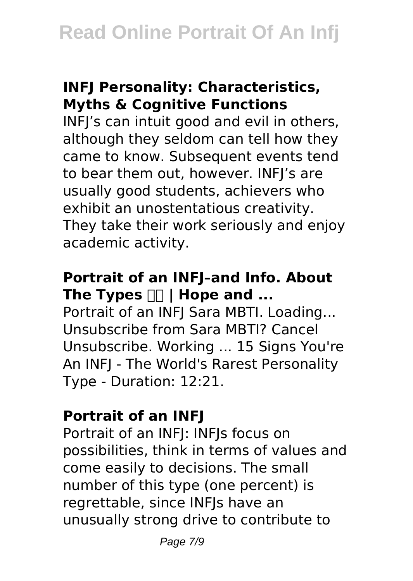### **INFJ Personality: Characteristics, Myths & Cognitive Functions**

INFJ's can intuit good and evil in others, although they seldom can tell how they came to know. Subsequent events tend to bear them out, however. INFJ's are usually good students, achievers who exhibit an unostentatious creativity. They take their work seriously and enjoy academic activity.

# **Portrait of an INFJ–and Info. About** The Types  $\Box \Box$  | Hope and ...

Portrait of an INFJ Sara MBTI. Loading... Unsubscribe from Sara MBTI? Cancel Unsubscribe. Working ... 15 Signs You're An INFJ - The World's Rarest Personality Type - Duration: 12:21.

# **Portrait of an INFJ**

Portrait of an INFJ: INFJs focus on possibilities, think in terms of values and come easily to decisions. The small number of this type (one percent) is regrettable, since INFJs have an unusually strong drive to contribute to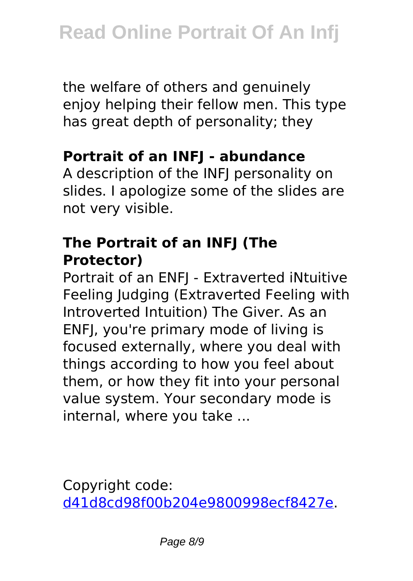the welfare of others and genuinely enjoy helping their fellow men. This type has great depth of personality; they

#### **Portrait of an INFJ - abundance**

A description of the INFJ personality on slides. I apologize some of the slides are not very visible.

#### **The Portrait of an INFJ (The Protector)**

Portrait of an ENFJ - Extraverted iNtuitive Feeling Judging (Extraverted Feeling with Introverted Intuition) The Giver. As an ENFJ, you're primary mode of living is focused externally, where you deal with things according to how you feel about them, or how they fit into your personal value system. Your secondary mode is internal, where you take ...

Copyright code: [d41d8cd98f00b204e9800998ecf8427e.](/sitemap.xml)